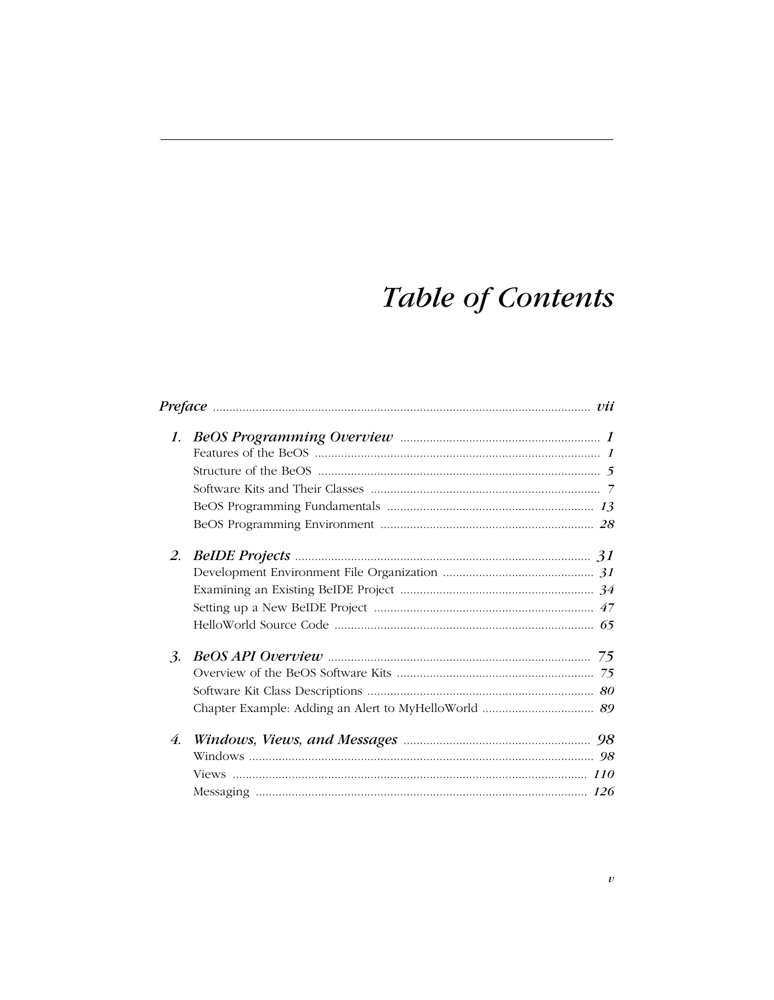## **Table of Contents**

| 1. |  |
|----|--|
|    |  |
|    |  |
|    |  |
|    |  |
|    |  |
| 2. |  |
|    |  |
|    |  |
|    |  |
|    |  |
| 3. |  |
|    |  |
|    |  |
|    |  |
| 4. |  |
|    |  |
|    |  |
|    |  |